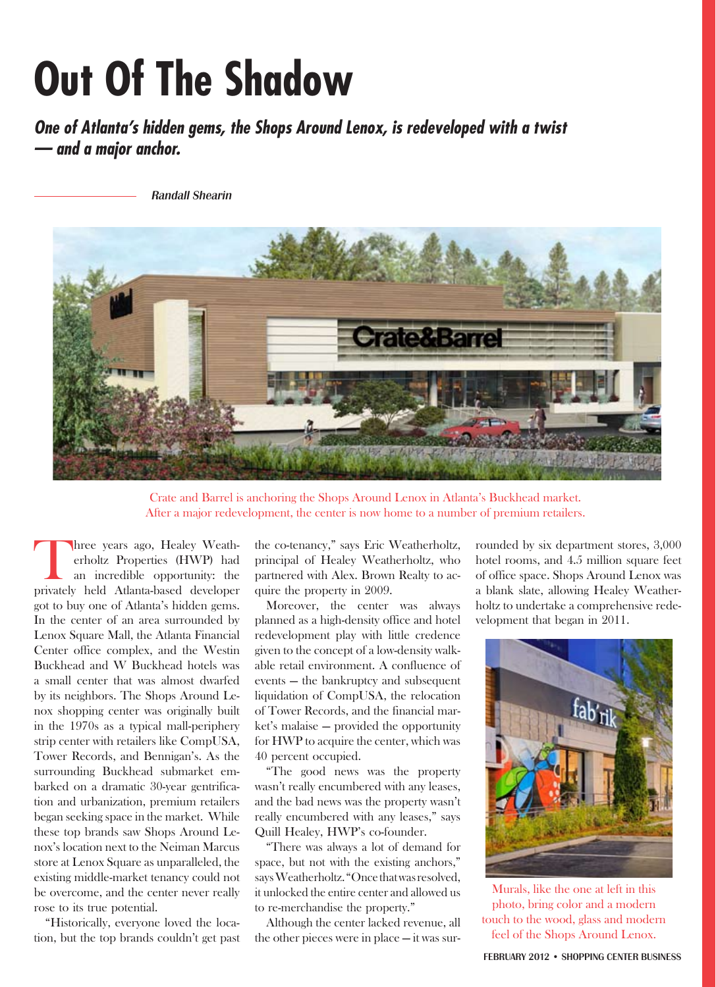## **Out Of The Shadow**

*One of Atlanta's hidden gems, the Shops Around Lenox, is redeveloped with a twist — and a major anchor.*

Randall Shearin



Crate and Barrel is anchoring the Shops Around Lenox in Atlanta's Buckhead market. After a major redevelopment, the center is now home to a number of premium retailers.

hree years ago, Healey Weatherholtz Properties (HWP) had an incredible opportunity: the privately held Atlanta-based developer got to buy one of Atlanta's hidden gems. In the center of an area surrounded by Lenox Square Mall, the Atlanta Financial Center office complex, and the Westin Buckhead and W Buckhead hotels was a small center that was almost dwarfed by its neighbors. The Shops Around Lenox shopping center was originally built in the 1970s as a typical mall-periphery strip center with retailers like CompUSA, Tower Records, and Bennigan's. As the surrounding Buckhead submarket embarked on a dramatic 30-year gentrification and urbanization, premium retailers began seeking space in the market. While these top brands saw Shops Around Lenox's location next to the Neiman Marcus store at Lenox Square as unparalleled, the existing middle-market tenancy could not be overcome, and the center never really rose to its true potential.

"Historically, everyone loved the location, but the top brands couldn't get past the co-tenancy," says Eric Weatherholtz, principal of Healey Weatherholtz, who partnered with Alex. Brown Realty to acquire the property in 2009.

Moreover, the center was always planned as a high-density office and hotel redevelopment play with little credence given to the concept of a low-density walkable retail environment. A confluence of events — the bankruptcy and subsequent liquidation of CompUSA, the relocation of Tower Records, and the financial market's malaise — provided the opportunity for HWP to acquire the center, which was 40 percent occupied.

"The good news was the property wasn't really encumbered with any leases, and the bad news was the property wasn't really encumbered with any leases," says Quill Healey, HWP's co-founder.

"There was always a lot of demand for space, but not with the existing anchors," says Weatherholtz. "Once that was resolved, it unlocked the entire center and allowed us to re-merchandise the property."

Although the center lacked revenue, all the other pieces were in place — it was sur-

rounded by six department stores, 3,000 hotel rooms, and 4.5 million square feet of office space. Shops Around Lenox was a blank slate, allowing Healey Weatherholtz to undertake a comprehensive redevelopment that began in 2011.



Murals, like the one at left in this photo, bring color and a modern touch to the wood, glass and modern feel of the Shops Around Lenox.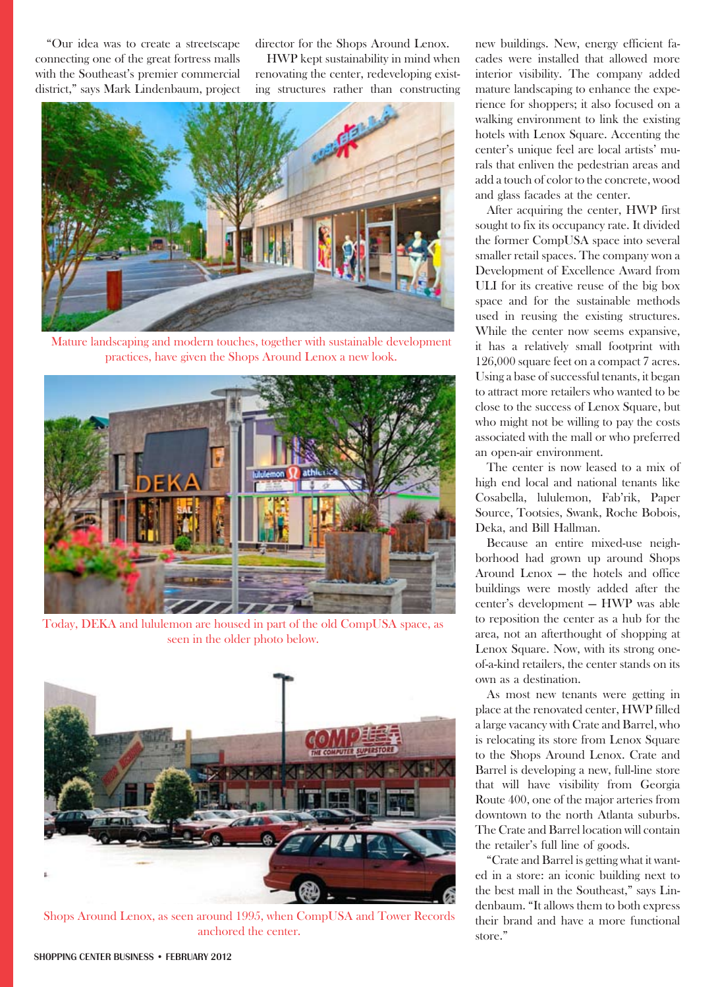"Our idea was to create a streetscape connecting one of the great fortress malls with the Southeast's premier commercial district," says Mark Lindenbaum, project director for the Shops Around Lenox.

HWP kept sustainability in mind when renovating the center, redeveloping existing structures rather than constructing



Mature landscaping and modern touches, together with sustainable development practices, have given the Shops Around Lenox a new look.



Today, DEKA and lululemon are housed in part of the old CompUSA space, as seen in the older photo below.



Shops Around Lenox, as seen around 1995, when CompUSA and Tower Records anchored the center.

new buildings. New, energy efficient facades were installed that allowed more interior visibility. The company added mature landscaping to enhance the experience for shoppers; it also focused on a walking environment to link the existing hotels with Lenox Square. Accenting the center's unique feel are local artists' murals that enliven the pedestrian areas and add a touch of color to the concrete, wood and glass facades at the center.

After acquiring the center, HWP first sought to fix its occupancy rate. It divided the former CompUSA space into several smaller retail spaces. The company won a Development of Excellence Award from ULI for its creative reuse of the big box space and for the sustainable methods used in reusing the existing structures. While the center now seems expansive, it has a relatively small footprint with 126,000 square feet on a compact 7 acres. Using a base of successful tenants, it began to attract more retailers who wanted to be close to the success of Lenox Square, but who might not be willing to pay the costs associated with the mall or who preferred an open-air environment.

The center is now leased to a mix of high end local and national tenants like Cosabella, lululemon, Fab'rik, Paper Source, Tootsies, Swank, Roche Bobois, Deka, and Bill Hallman.

Because an entire mixed-use neighborhood had grown up around Shops Around Lenox — the hotels and office buildings were mostly added after the center's development — HWP was able to reposition the center as a hub for the area, not an afterthought of shopping at Lenox Square. Now, with its strong oneof-a-kind retailers, the center stands on its own as a destination.

As most new tenants were getting in place at the renovated center, HWP filled a large vacancy with Crate and Barrel, who is relocating its store from Lenox Square to the Shops Around Lenox. Crate and Barrel is developing a new, full-line store that will have visibility from Georgia Route 400, one of the major arteries from downtown to the north Atlanta suburbs. The Crate and Barrel location will contain the retailer's full line of goods.

"Crate and Barrel is getting what it wanted in a store: an iconic building next to the best mall in the Southeast," says Lindenbaum. "It allows them to both express their brand and have a more functional store."